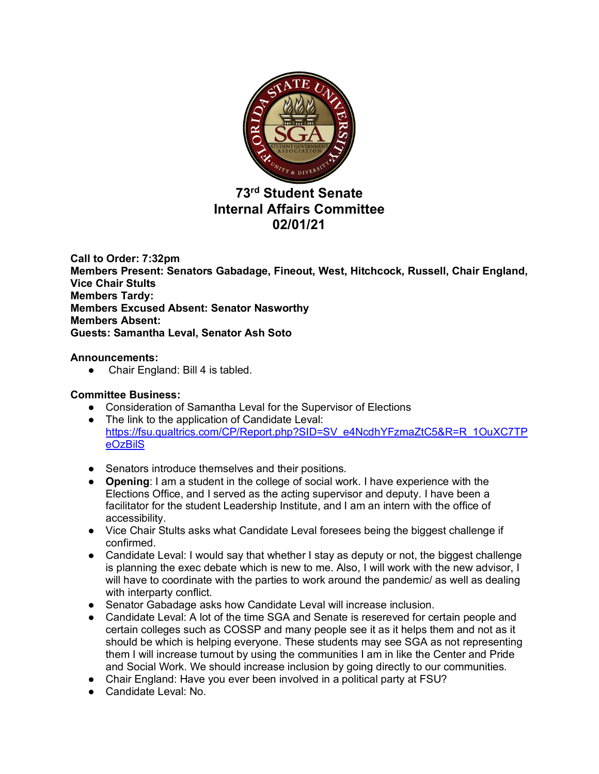

# **73rd Student Senate Internal Affairs Committee 02/01/21**

**Call to Order: 7:32pm Members Present: Senators Gabadage, Fineout, West, Hitchcock, Russell, Chair England, Vice Chair Stults Members Tardy: Members Excused Absent: Senator Nasworthy Members Absent: Guests: Samantha Leval, Senator Ash Soto**

# **Announcements:**

● Chair England: Bill 4 is tabled.

# **Committee Business:**

- Consideration of Samantha Leval for the Supervisor of Elections
- The link to the application of Candidate Leval: https://fsu.qualtrics.com/CP/Report.php?SID=SV\_e4NcdhYFzmaZtC5&R=R\_1OuXC7TP eOzBilS
- Senators introduce themselves and their positions.
- **Opening**: I am a student in the college of social work. I have experience with the Elections Office, and I served as the acting supervisor and deputy. I have been a facilitator for the student Leadership Institute, and I am an intern with the office of accessibility.
- Vice Chair Stults asks what Candidate Leval foresees being the biggest challenge if confirmed.
- Candidate Leval: I would say that whether I stay as deputy or not, the biggest challenge is planning the exec debate which is new to me. Also, I will work with the new advisor, I will have to coordinate with the parties to work around the pandemic/ as well as dealing with interparty conflict.
- Senator Gabadage asks how Candidate Leval will increase inclusion.
- Candidate Leval: A lot of the time SGA and Senate is resereved for certain people and certain colleges such as COSSP and many people see it as it helps them and not as it should be which is helping everyone. These students may see SGA as not representing them I will increase turnout by using the communities I am in like the Center and Pride and Social Work. We should increase inclusion by going directly to our communities.
- Chair England: Have you ever been involved in a political party at FSU?
- Candidate Leval: No.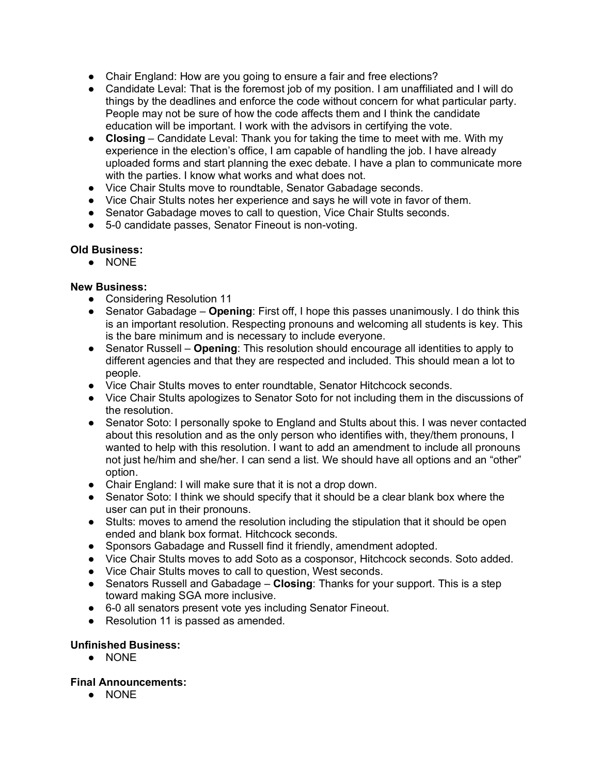- Chair England: How are you going to ensure a fair and free elections?
- Candidate Leval: That is the foremost job of my position. I am unaffiliated and I will do things by the deadlines and enforce the code without concern for what particular party. People may not be sure of how the code affects them and I think the candidate education will be important. I work with the advisors in certifying the vote.
- **Closing** Candidate Leval: Thank you for taking the time to meet with me. With my experience in the election's office, I am capable of handling the job. I have already uploaded forms and start planning the exec debate. I have a plan to communicate more with the parties. I know what works and what does not.
- Vice Chair Stults move to roundtable, Senator Gabadage seconds.
- Vice Chair Stults notes her experience and says he will vote in favor of them.
- Senator Gabadage moves to call to question, Vice Chair Stults seconds.
- 5-0 candidate passes, Senator Fineout is non-voting.

## **Old Business:**

● NONE

## **New Business:**

- Considering Resolution 11
- Senator Gabadage **Opening**: First off, I hope this passes unanimously. I do think this is an important resolution. Respecting pronouns and welcoming all students is key. This is the bare minimum and is necessary to include everyone.
- Senator Russell **Opening**: This resolution should encourage all identities to apply to different agencies and that they are respected and included. This should mean a lot to people.
- Vice Chair Stults moves to enter roundtable, Senator Hitchcock seconds.
- Vice Chair Stults apologizes to Senator Soto for not including them in the discussions of the resolution.
- Senator Soto: I personally spoke to England and Stults about this. I was never contacted about this resolution and as the only person who identifies with, they/them pronouns, I wanted to help with this resolution. I want to add an amendment to include all pronouns not just he/him and she/her. I can send a list. We should have all options and an "other" option.
- Chair England: I will make sure that it is not a drop down.
- Senator Soto: I think we should specify that it should be a clear blank box where the user can put in their pronouns.
- Stults: moves to amend the resolution including the stipulation that it should be open ended and blank box format. Hitchcock seconds.
- Sponsors Gabadage and Russell find it friendly, amendment adopted.
- Vice Chair Stults moves to add Soto as a cosponsor, Hitchcock seconds. Soto added.
- Vice Chair Stults moves to call to question, West seconds.
- Senators Russell and Gabadage **Closing**: Thanks for your support. This is a step toward making SGA more inclusive.
- 6-0 all senators present vote yes including Senator Fineout.
- Resolution 11 is passed as amended.

#### **Unfinished Business:**

● NONE

#### **Final Announcements:**

● NONE